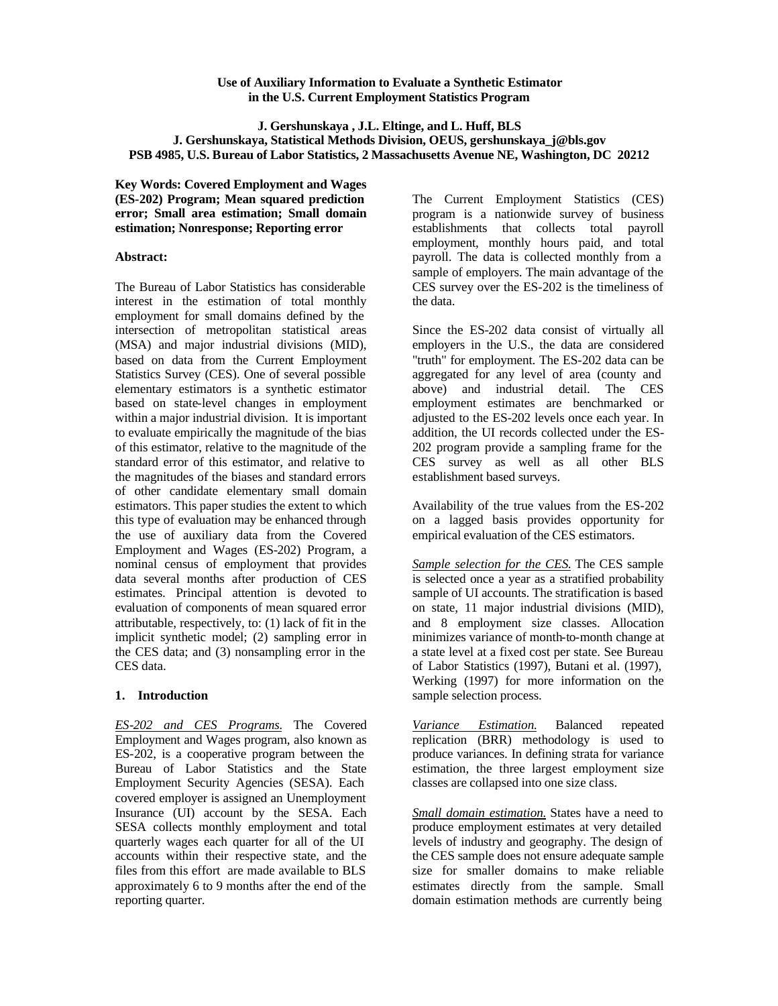## **Use of Auxiliary Information to Evaluate a Synthetic Estimator in the U.S. Current Employment Statistics Program**

**J. Gershunskaya , J.L. Eltinge, and L. Huff, BLS**

# **J. Gershunskaya, Statistical Methods Division, OEUS, gershunskaya\_j@bls.gov PSB 4985, U.S. Bureau of Labor Statistics, 2 Massachusetts Avenue NE, Washington, DC 20212**

**Key Words: Covered Employment and Wages (ES-202) Program; Mean squared prediction error; Small area estimation; Small domain estimation; Nonresponse; Reporting error**

# **Abstract:**

The Bureau of Labor Statistics has considerable interest in the estimation of total monthly employment for small domains defined by the intersection of metropolitan statistical areas (MSA) and major industrial divisions (MID), based on data from the Current Employment Statistics Survey (CES). One of several possible elementary estimators is a synthetic estimator based on state-level changes in employment within a major industrial division. It is important to evaluate empirically the magnitude of the bias of this estimator, relative to the magnitude of the standard error of this estimator, and relative to the magnitudes of the biases and standard errors of other candidate elementary small domain estimators. This paper studies the extent to which this type of evaluation may be enhanced through the use of auxiliary data from the Covered Employment and Wages (ES-202) Program, a nominal census of employment that provides data several months after production of CES estimates. Principal attention is devoted to evaluation of components of mean squared error attributable, respectively, to: (1) lack of fit in the implicit synthetic model; (2) sampling error in the CES data; and (3) nonsampling error in the CES data.

# **1. Introduction**

*ES-202 and CES Programs.* The Covered Employment and Wages program, also known as ES-202, is a cooperative program between the Bureau of Labor Statistics and the State Employment Security Agencies (SESA). Each covered employer is assigned an Unemployment Insurance (UI) account by the SESA. Each SESA collects monthly employment and total quarterly wages each quarter for all of the UI accounts within their respective state, and the files from this effort are made available to BLS approximately 6 to 9 months after the end of the reporting quarter.

The Current Employment Statistics (CES) program is a nationwide survey of business establishments that collects total payroll employment, monthly hours paid, and total payroll. The data is collected monthly from a sample of employers. The main advantage of the CES survey over the ES-202 is the timeliness of the data.

Since the ES-202 data consist of virtually all employers in the U.S., the data are considered "truth" for employment. The ES-202 data can be aggregated for any level of area (county and above) and industrial detail. The CES employment estimates are benchmarked or adjusted to the ES-202 levels once each year. In addition, the UI records collected under the ES-202 program provide a sampling frame for the CES survey as well as all other BLS establishment based surveys.

Availability of the true values from the ES-202 on a lagged basis provides opportunity for empirical evaluation of the CES estimators.

*Sample selection for the CES.* The CES sample is selected once a year as a stratified probability sample of UI accounts. The stratification is based on state, 11 major industrial divisions (MID), and 8 employment size classes. Allocation minimizes variance of month-to-month change at a state level at a fixed cost per state. See Bureau of Labor Statistics (1997), Butani et al. (1997), Werking (1997) for more information on the sample selection process.

*Variance Estimation.* Balanced repeated replication (BRR) methodology is used to produce variances. In defining strata for variance estimation, the three largest employment size classes are collapsed into one size class.

*Small domain estimation.* States have a need to produce employment estimates at very detailed levels of industry and geography. The design of the CES sample does not ensure adequate sample size for smaller domains to make reliable estimates directly from the sample. Small domain estimation methods are currently being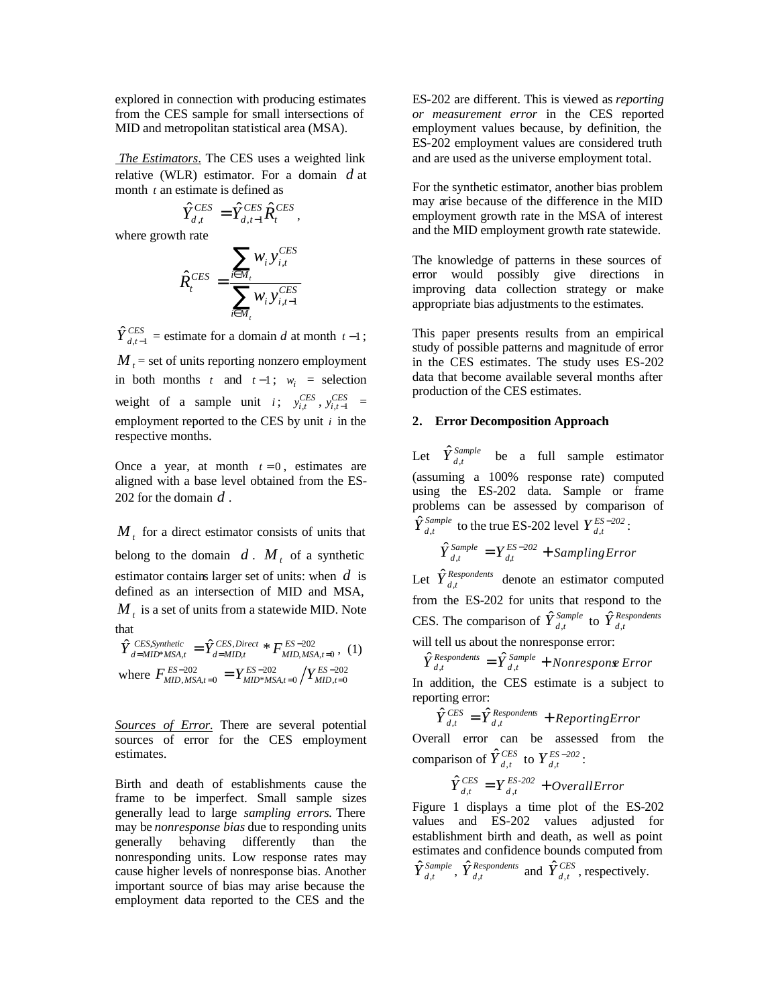explored in connection with producing estimates from the CES sample for small intersections of MID and metropolitan statistical area (MSA).

 *The Estimators*. The CES uses a weighted link relative (WLR) estimator. For a domain *d* at month *t* an estimate is defined as

$$
\hat{Y}_{d,t}^{CES}=\hat{Y}_{d,t-1}^{CES}\hat{R}_{t}^{CES}\,,
$$

where growth rate

$$
\hat{R}_{t}^{CES} = \frac{\sum_{i \in M_t} w_i y_{i,t}^{CES}}{\sum_{i \in M_t} w_i y_{i,t-1}^{CES}}
$$

 $\hat{Y}_{d,t-1}^{CES}$  = estimate for a domain *d* at month  $t-1$ ;  $M_{t}$  = set of units reporting nonzero employment in both months *t* and  $t-1$ ;  $w_i$  = selection weight of a sample unit *i*;  $y_{i,t}^{CES}$ ,  $y_{i,t-1}^{CES}$  = employment reported to the CES by unit *i* in the respective months.

Once a year, at month  $t = 0$ , estimates are aligned with a base level obtained from the ES-202 for the domain *d* .

 $M<sub>t</sub>$  for a direct estimator consists of units that belong to the domain  $d$ .  $M_t$  of a synthetic estimator contains larger set of units: when *d* is defined as an intersection of MID and MSA,  $M_t$  is a set of units from a statewide MID. Note that

$$
\hat{Y}_{d=MID*MSA,t}^{CES,Synthetic} = \hat{Y}_{d=MID,t}^{CES, Direct} * F_{MID,MSA,t=0}^{ES-202}, (1)
$$
\nwhere  $F_{MID,MSA,t=0}^{ES-202} = Y_{MID*MSA,t=0}^{ES-202} / Y_{MID,t=0}^{ES-202}$ 

*Sources of Error.* There are several potential sources of error for the CES employment estimates.

Birth and death of establishments cause the frame to be imperfect. Small sample sizes generally lead to large *sampling errors.* There may be *nonresponse bias* due to responding units generally behaving differently than the nonresponding units. Low response rates may cause higher levels of nonresponse bias. Another important source of bias may arise because the employment data reported to the CES and the

ES-202 are different. This is viewed as *reporting or measurement error* in the CES reported employment values because, by definition, the ES-202 employment values are considered truth and are used as the universe employment total.

For the synthetic estimator, another bias problem may arise because of the difference in the MID employment growth rate in the MSA of interest and the MID employment growth rate statewide.

The knowledge of patterns in these sources of error would possibly give directions in improving data collection strategy or make appropriate bias adjustments to the estimates.

This paper presents results from an empirical study of possible patterns and magnitude of error in the CES estimates. The study uses ES-202 data that become available several months after production of the CES estimates.

### **2. Error Decomposition Approach**

Let  $\hat{Y}_{d,t}^{Sample}$  be a full sample estimator (assuming a 100% response rate) computed using the ES-202 data. Sample or frame problems can be assessed by comparison of  $\hat{Y}_{d,t}^{Sample}$  to the true ES-202 level  $Y_{d,t}^{ES-202}$ :

$$
\hat{Y}_{d,t}^{Sample} = Y_{d,t}^{ES-202} + SamplingError
$$

Let  $\hat{Y}_{d,t}^{Respondents}$  denote an estimator computed from the ES-202 for units that respond to the CES. The comparison of  $\hat{Y}_{d,t}^{Sample}$  to  $\hat{Y}_{d,t}^{Response}$ will tell us about the nonresponse error:

$$
\hat{Y}_{d,t}^{Respondents} = \hat{Y}_{d,t}^{Sample} + Nonresponse Error
$$

In addition, the CES estimate is a subject to reporting error:

$$
\hat{Y}_{d,t}^{CES} = \hat{Y}_{d,t}^{Respondents} + ReportingError
$$

Overall error can be assessed from the comparison of  $\hat{Y}_{d,t}^{CES}$  to  $Y_{d,t}^{ES-202}$ :

$$
\hat{Y}_{d,t}^{CES}=Y_{d,t}^{ES\text{-}202}+OverallError
$$

Figure 1 displays a time plot of the ES-202 values and ES-202 values adjusted for establishment birth and death, as well as point estimates and confidence bounds computed from  $\hat{Y}_{d,t}^{Sample}$ ,  $\hat{Y}_{d,t}^{Response}$  and  $\hat{Y}_{d,t}^{CES}$ , respectively.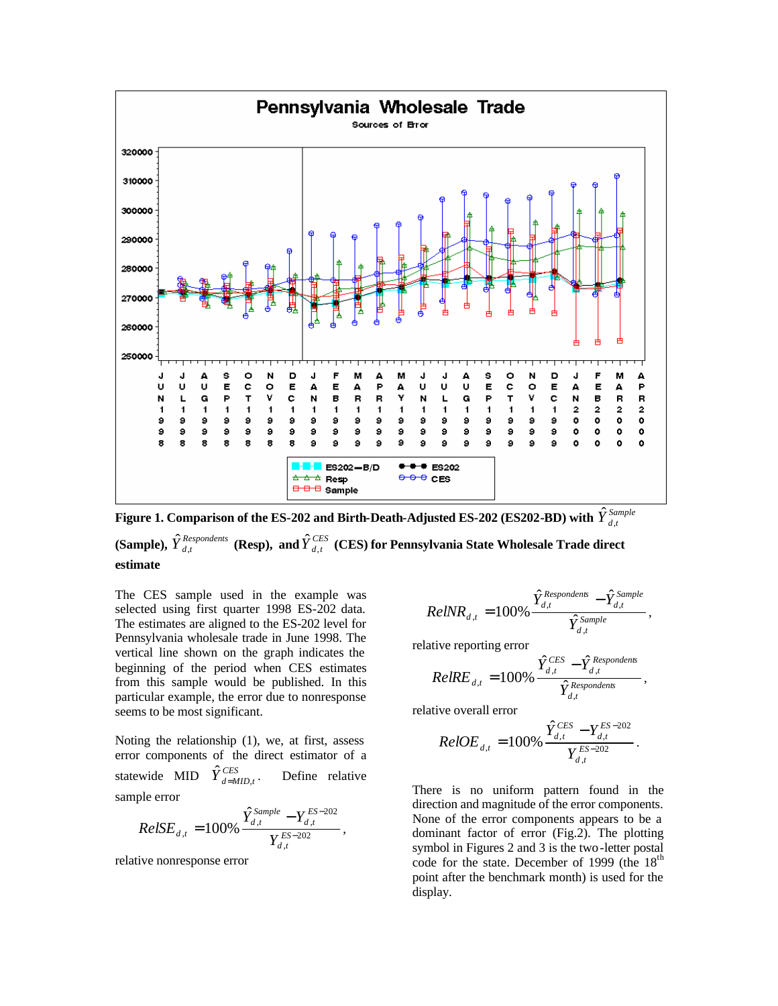

**Figure 1. Comparison of the ES-202 and Birth-Death-Adjusted ES-202 (ES202-BD) with**  $\hat{\hat{Y}}^{\text{Sample}}_{d,t}$ (Sample),  $\hat{Y}_{d,t}^{Respondents}$  (Resp), and  $\hat{Y}_{d,t}^{CES}$  (CES) for Pennsylvania State Wholesale Trade direct

**estimate**

The CES sample used in the example was selected using first quarter 1998 ES-202 data. The estimates are aligned to the ES-202 level for Pennsylvania wholesale trade in June 1998. The vertical line shown on the graph indicates the beginning of the period when CES estimates from this sample would be published. In this particular example, the error due to nonresponse seems to be most significant.

Noting the relationship (1), we, at first, assess error components of the direct estimator of a statewide MID  $\hat{Y}_{d=MID,t}^{CES}$ Define relative sample error

$$
RelSE_{d,t} = 100\% \frac{\hat{Y}_{d,t}^{Sample} - Y_{d,t}^{ES-202}}{Y_{d,t}^{ES-202}},
$$

relative nonresponse error

$$
RelNR_{d,t} = 100\% \frac{\hat{Y}_{d,t}^{Response}}{\hat{Y}_{d,t}^{Sample}},
$$

relative reporting error

$$
RelRE_{d,t} = 100\% \frac{\hat{Y}_{d,t}^{CES} - \hat{Y}_{d,t}^{Respondents}}{\hat{Y}_{d,t}^{Respondents}},
$$

relative overall error

$$
RelOE_{d,t} = 100\% \frac{\hat{Y}_{d,t}^{CES} - Y_{d,t}^{ES-202}}{Y_{d,t}^{ES-202}}.
$$

There is no uniform pattern found in the direction and magnitude of the error components. None of the error components appears to be a dominant factor of error (Fig.2). The plotting symbol in Figures 2 and 3 is the two-letter postal code for the state. December of 1999 (the  $18<sup>th</sup>$ point after the benchmark month) is used for the display.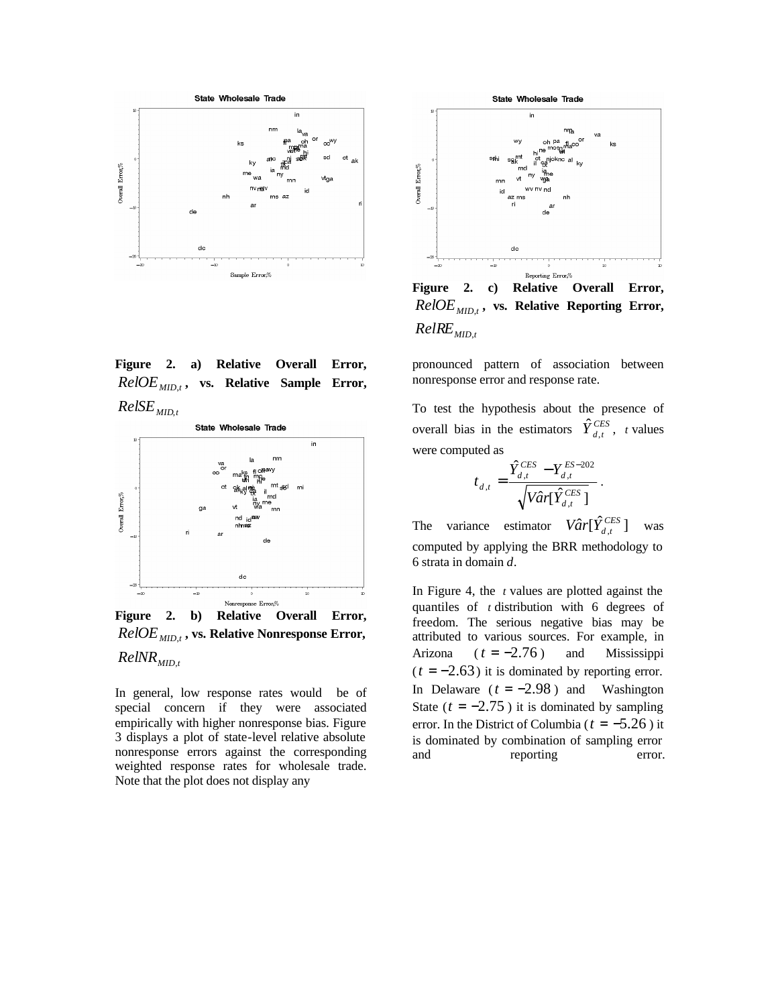

**Figure 2. a) Relative Overall Error,** *RelOEMID*,*<sup>t</sup>* **, vs. Relative Sample Error,**  $RelSE$ <sub>*MID<sup>t</sup></sub></sub>* 



**Figure 2. b) Relative Overall Error,** *RelOEMID*,*<sup>t</sup>* **, vs. Relative Nonresponse Error,**  *RelNRMID*,*<sup>t</sup>*

In general, low response rates would be of special concern if they were associated empirically with higher nonresponse bias. Figure 3 displays a plot of state-level relative absolute nonresponse errors against the corresponding weighted response rates for wholesale trade. Note that the plot does not display any



**Figure 2. c) Relative Overall Error,** *RelOEMID*,*<sup>t</sup>* **, vs. Relative Reporting Error,** *RelREMID*,*<sup>t</sup>*

pronounced pattern of association between nonresponse error and response rate.

To test the hypothesis about the presence of overall bias in the estimators  $\hat{Y}_{d,t}^{CES}$ , *t* values were computed as

$$
t_{d,t} = \frac{\hat{Y}_{d,t}^{CES} - Y_{d,t}^{ES-202}}{\sqrt{Var[\hat{Y}_{d,t}^{CES}]}}.
$$

The variance estimator  $V\hat{a}r[\hat{Y}_{d,t}^{CES}]$  was computed by applying the BRR methodology to 6 strata in domain *d*.

In Figure 4, the *t* values are plotted against the quantiles of *t* distribution with 6 degrees of freedom. The serious negative bias may be attributed to various sources. For example, in Arizona  $(t = -2.76)$  and Mississippi  $(t = -2.63)$  it is dominated by reporting error. In Delaware  $(t = -2.98)$  and Washington State ( $t = -2.75$ ) it is dominated by sampling error. In the District of Columbia ( $t = -5.26$ ) it is dominated by combination of sampling error and reporting error.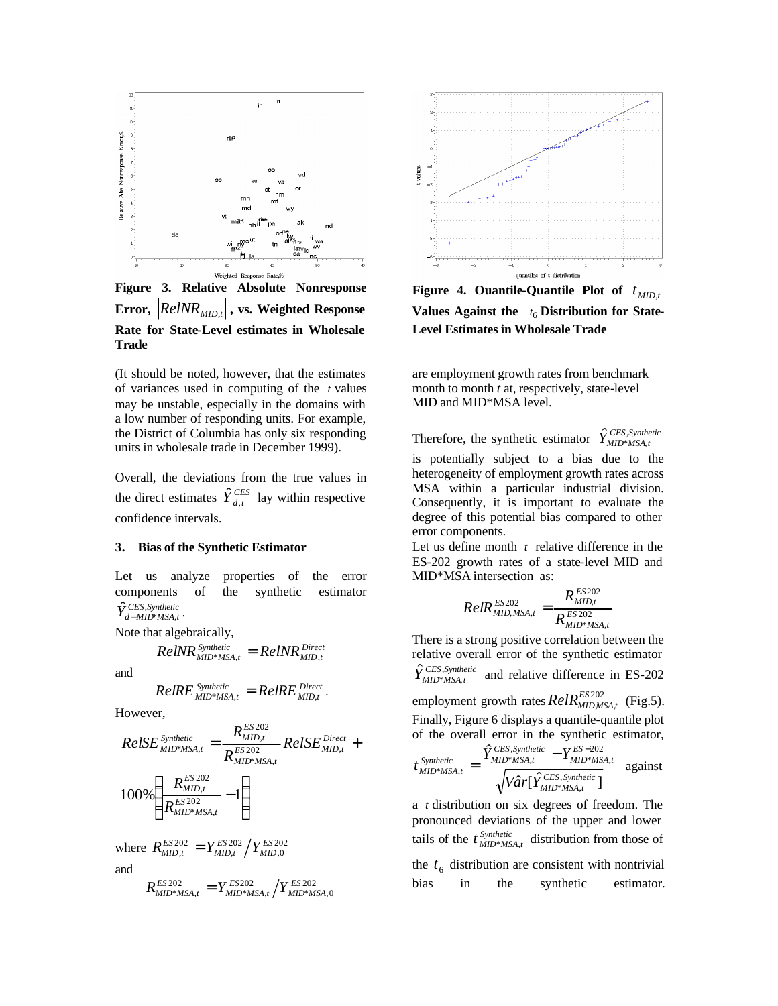

**Figure 3. Relative Absolute Nonresponse** Error,  $\left| \mathit{RelNR}_{\mathit{MID},t} \right|$ , vs. Weighted Response **Rate for State-Level estimates in Wholesale Trade**

(It should be noted, however, that the estimates of variances used in computing of the *t* values may be unstable, especially in the domains with a low number of responding units. For example, the District of Columbia has only six responding units in wholesale trade in December 1999).

Overall, the deviations from the true values in the direct estimates  $\hat{Y}_{d,t}^{CES}$  lay within respective confidence intervals.

#### **3. Bias of the Synthetic Estimator**

Let us analyze properties of the error components of the synthetic estimator  $\hat{Y}_{d=MID^{*}MSA,t}^{CES,Synthetic}$  $\hat{Y}_{d=MID^*MSA,t}^{CES,Synthetic}$ 

Note that algebraically,

$$
ReINR_{MD^*MSA,t}^{Synthetic} = ReINR_{MD,t}^{Direct}
$$

and

$$
RelRE_{MID^*MSA,t}^{Synthetic} = RelRE_{MID,t}^{Direct}.
$$

However,

$$
RelSE_{MID*MSA,t}^{Synthetic} = \frac{R_{MID,t}^{ES\,202}}{R_{MID*MSA,t}^{ES\,202}} RelSE_{MID,t}^{Direct} + \\ 100\% \left(\frac{R_{MID,t}^{ES\,202}}{R_{MID*MSA,t}^{ES\,202}} - 1\right)
$$

where 
$$
R_{MID,t}^{ES\,202} = Y_{MID,t}^{ES\,202} / Y_{MID,0}^{ES\,202}
$$
  
and  
 $R_{MID*MSA,t}^{ES\,202} = Y_{MID*MSA,t}^{ES\,202} / Y_{MID*MSA,0}^{ES\,202}$ 



Figure 4. Ouantile-Quantile Plot of  $t_{MD,t}$ Values Against the  $t_6$  Distribution for State-**Level Estimates in Wholesale Trade**

are employment growth rates from benchmark month to month *t* at, respectively, state-level MID and MID\*MSA level.

Therefore, the synthetic estimator  $\hat{Y}_{MID^*MSA,t}^{CES,Synthetic}$  $\hat{Y}^{CES, Synth}_{MID*MSA, m}$ 

is potentially subject to a bias due to the heterogeneity of employment growth rates across MSA within a particular industrial division. Consequently, it is important to evaluate the degree of this potential bias compared to other error components.

Let us define month  $t$  relative difference in the ES-202 growth rates of a state-level MID and MID\*MSA intersection as:

$$
RelR_{MID,MSA,t}^{ES202} = \frac{R_{MID,t}^{ES202}}{R_{MID*MSA,t}^{ES202}}
$$

There is a strong positive correlation between the relative overall error of the synthetic estimator  $\hat{Y}_{MID^*MSA, t}^{CES,Synthetic}$  $MID*MSA, t$  and relative difference in ES-202 employment growth rates  $RelR<sup>ES 202</sup><sub>MD,MSA,t</sub>$  (Fig.5). Finally, Figure 6 displays a quantile-quantile plot of the overall error in the synthetic estimator,  $\hat{Y}_{MID^*MSA}^{CES,Synthetic} - Y_{MID^*MSA}^{ES-202}$ 

$$
t_{MID^*MSA,t}^{Synthetic} = \frac{t_{MID^*MSA,t} - t_{MID^*MSA,t}}{\sqrt{Var[\hat{Y}_{MID^*MSA,t}^{CES,Synthetic}]}}
$$
 against

a *t* distribution on six degrees of freedom. The pronounced deviations of the upper and lower tails of the  $t_{MID^*MSA,t}^{Synthetic}$  distribution from those of the  $t<sub>6</sub>$  distribution are consistent with nontrivial bias in the synthetic estimator.